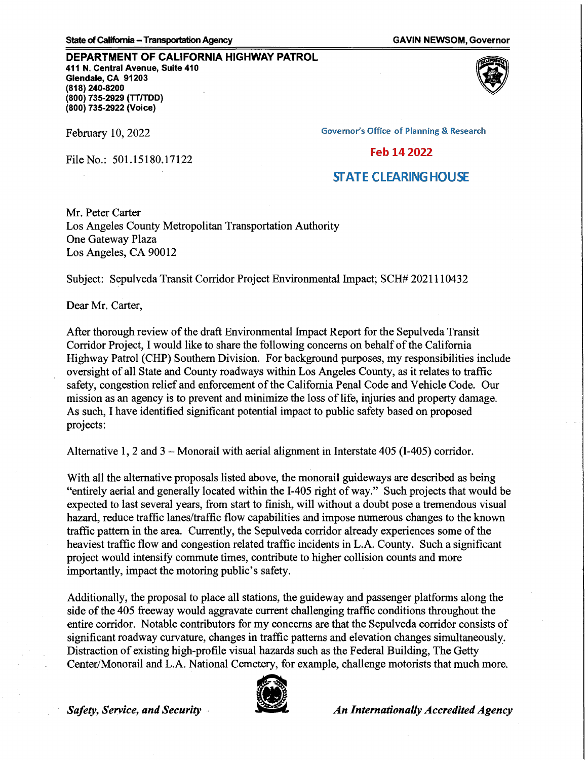## **DEPARTMENT OF CALIFORNIA HIGHWAY PATROL**

**411 N. Central Avenue, Suite 410 Glendale, CA 91203 (818) 240-8200 (800) 735-2929 (TT/TDD) (800) 735-2922 (Voice)** 

File No.: 501.15180.17122



**Governor's Office of Planning & Research** 

## Feb 14 2022

## **STATE CLEARING HOUSE**

Mr. Peter Carter Los Angeles County Metropolitan Transportation Authority One Gateway Plaza Los Angeles, CA 90012

Subject: Sepulveda Transit Corridor Project Environmental Impact; SCH# 2021110432

Dear Mr. Carter,

After thorough review of the draft Environmental Impact Report for the Sepulveda Transit Corridor Project, I would like to share the following concerns on behalf of the California Highway Patrol (CHP) Southern Division. For background purposes, my responsibilities include oversight of all State and County roadways within Los Angeles County, as it relates to traffic safety, congestion relief and enforcement of the California Penal Code and Vehicle Code. Our mission as an agency is to prevent and minimize the loss of life, injuries and property damage. As such, I have identified significant potential impact to public safety based on proposed projects:

Alternative 1, 2 and 3 - Monorail with aerial alignment in Interstate 405 (I-405) corridor.

With all the alternative proposals listed above, the monorail guideways are described as being "entirely aerial and generally located within the I-405 right of way." Such projects that would be expected to last several years, from start to finish, will without a doubt pose a tremendous visual hazard, reduce traffic lanes/traffic flow capabilities and impose numerous changes to the known traffic pattern in the area. Currently, the Sepulveda corridor already experiences some of the heaviest traffic flow and congestion related traffic incidents in L.A. County. Such a significant project would intensify commute times, contribute to higher collision counts and more importantly, impact the motoring public's safety.

Additionally, the proposal to place all stations, the guideway and passenger platforms along the side of the 405 freeway would aggravate current challenging traffic conditions throughout the entire corridor. Notable contributors for my concerns are that the Sepulveda corridor consists of significant roadway curvature, changes in traffic patterns and elevation changes simultaneously. Distraction of existing high-profile visual hazards such as the Federal Building, The Getty Center/Monorail and L.A. National Cemetery, for example, challenge motorists that much more .



**Safety, Service, and Security and Security and Security An Internationally Accredited Agency**